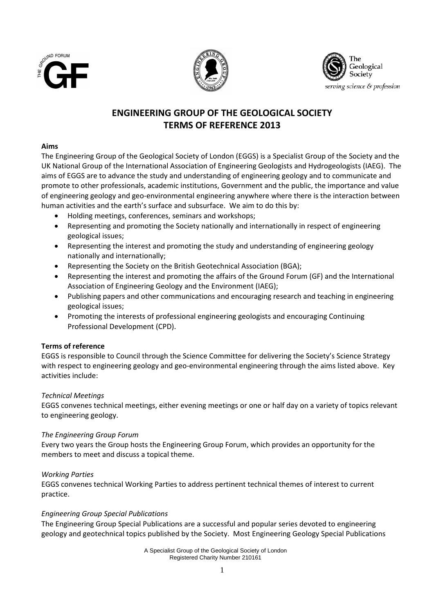





# **ENGINEERING GROUP OF THE GEOLOGICAL SOCIETY TERMS OF REFERENCE 2013**

## **Aims**

The Engineering Group of the Geological Society of London (EGGS) is a Specialist Group of the Society and the UK National Group of the International Association of Engineering Geologists and Hydrogeologists (IAEG). The aims of EGGS are to advance the study and understanding of engineering geology and to communicate and promote to other professionals, academic institutions, Government and the public, the importance and value of engineering geology and geo-environmental engineering anywhere where there is the interaction between human activities and the earth's surface and subsurface. We aim to do this by:

- Holding meetings, conferences, seminars and workshops;
- Representing and promoting the Society nationally and internationally in respect of engineering geological issues;
- Representing the interest and promoting the study and understanding of engineering geology nationally and internationally;
- Representing the Society on the British Geotechnical Association (BGA);
- Representing the interest and promoting the affairs of the Ground Forum (GF) and the International Association of Engineering Geology and the Environment (IAEG);
- Publishing papers and other communications and encouraging research and teaching in engineering geological issues;
- Promoting the interests of professional engineering geologists and encouraging Continuing Professional Development (CPD).

## **Terms of reference**

EGGS is responsible to Council through the Science Committee for delivering the Society's Science Strategy with respect to engineering geology and geo-environmental engineering through the aims listed above. Key activities include:

## *Technical Meetings*

EGGS convenes technical meetings, either evening meetings or one or half day on a variety of topics relevant to engineering geology.

## *The Engineering Group Forum*

Every two years the Group hosts the Engineering Group Forum, which provides an opportunity for the members to meet and discuss a topical theme.

## *Working Parties*

EGGS convenes technical Working Parties to address pertinent technical themes of interest to current practice.

## *Engineering Group Special Publications*

The Engineering Group Special Publications are a successful and popular series devoted to engineering geology and geotechnical topics published by the Society. Most Engineering Geology Special Publications

> A Specialist Group of the Geological Society of London Registered Charity Number 210161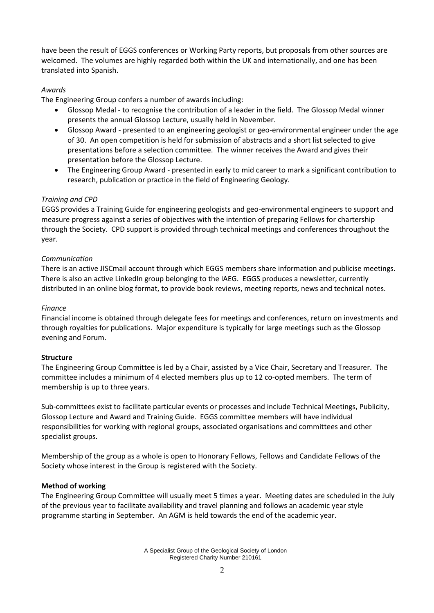have been the result of EGGS conferences or Working Party reports, but proposals from other sources are welcomed. The volumes are highly regarded both within the UK and internationally, and one has been translated into Spanish.

## *Awards*

The Engineering Group confers a number of awards including:

- Glossop Medal to recognise the contribution of a leader in the field. The Glossop Medal winner presents the annual Glossop Lecture, usually held in November.
- Glossop Award presented to an engineering geologist or geo-environmental engineer under the age of 30. An open competition is held for submission of abstracts and a short list selected to give presentations before a selection committee. The winner receives the Award and gives their presentation before the Glossop Lecture.
- The Engineering Group Award presented in early to mid career to mark a significant contribution to research, publication or practice in the field of Engineering Geology.

# *Training and CPD*

EGGS provides a Training Guide for engineering geologists and geo-environmental engineers to support and measure progress against a series of objectives with the intention of preparing Fellows for chartership through the Society. CPD support is provided through technical meetings and conferences throughout the year.

## *Communication*

There is an active JISCmail account through which EGGS members share information and publicise meetings. There is also an active LinkedIn group belonging to the IAEG. EGGS produces a newsletter, currently distributed in an online blog format, to provide book reviews, meeting reports, news and technical notes.

## *Finance*

Financial income is obtained through delegate fees for meetings and conferences, return on investments and through royalties for publications. Major expenditure is typically for large meetings such as the Glossop evening and Forum.

## **Structure**

The Engineering Group Committee is led by a Chair, assisted by a Vice Chair, Secretary and Treasurer. The committee includes a minimum of 4 elected members plus up to 12 co-opted members. The term of membership is up to three years.

Sub-committees exist to facilitate particular events or processes and include Technical Meetings, Publicity, Glossop Lecture and Award and Training Guide. EGGS committee members will have individual responsibilities for working with regional groups, associated organisations and committees and other specialist groups.

Membership of the group as a whole is open to Honorary Fellows, Fellows and Candidate Fellows of the Society whose interest in the Group is registered with the Society.

## **Method of working**

The Engineering Group Committee will usually meet 5 times a year. Meeting dates are scheduled in the July of the previous year to facilitate availability and travel planning and follows an academic year style programme starting in September. An AGM is held towards the end of the academic year.

> A Specialist Group of the Geological Society of London Registered Charity Number 210161